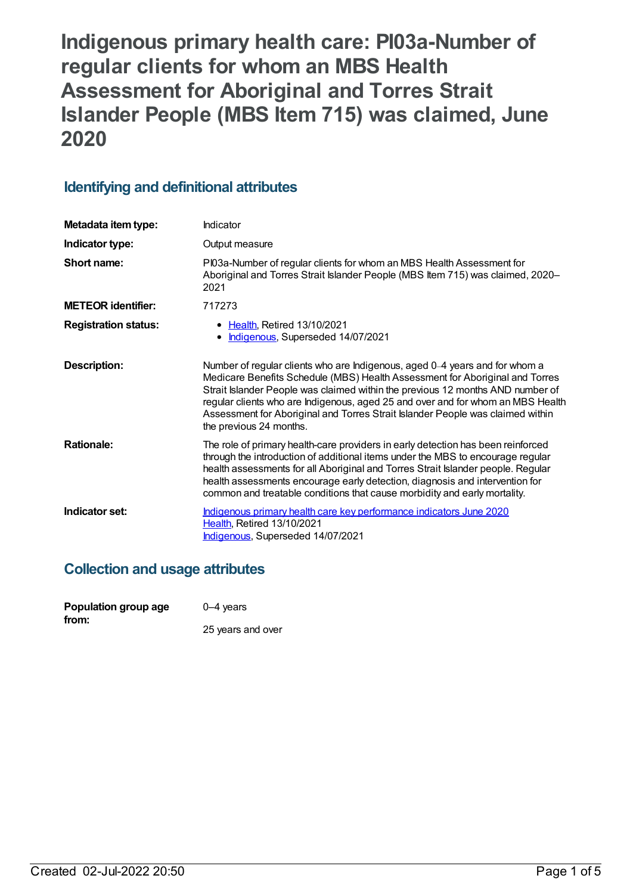**Indigenous primary health care: PI03a-Number of regular clients for whom an MBS Health Assessment for Aboriginal and Torres Strait Islander People (MBS Item 715) was claimed, June 2020**

## **Identifying and definitional attributes**

| Metadata item type:         | Indicator                                                                                                                                                                                                                                                                                                                                                                                                                                     |
|-----------------------------|-----------------------------------------------------------------------------------------------------------------------------------------------------------------------------------------------------------------------------------------------------------------------------------------------------------------------------------------------------------------------------------------------------------------------------------------------|
| Indicator type:             | Output measure                                                                                                                                                                                                                                                                                                                                                                                                                                |
| Short name:                 | PI03a-Number of regular clients for whom an MBS Health Assessment for<br>Aboriginal and Torres Strait Islander People (MBS Item 715) was claimed, 2020-<br>2021                                                                                                                                                                                                                                                                               |
| <b>METEOR identifier:</b>   | 717273                                                                                                                                                                                                                                                                                                                                                                                                                                        |
| <b>Registration status:</b> | • Health, Retired 13/10/2021<br>Indigenous, Superseded 14/07/2021                                                                                                                                                                                                                                                                                                                                                                             |
| Description:                | Number of regular clients who are Indigenous, aged 0-4 years and for whom a<br>Medicare Benefits Schedule (MBS) Health Assessment for Aboriginal and Torres<br>Strait Islander People was claimed within the previous 12 months AND number of<br>regular clients who are Indigenous, aged 25 and over and for whom an MBS Health<br>Assessment for Aboriginal and Torres Strait Islander People was claimed within<br>the previous 24 months. |
| <b>Rationale:</b>           | The role of primary health-care providers in early detection has been reinforced<br>through the introduction of additional items under the MBS to encourage regular<br>health assessments for all Aboriginal and Torres Strait Islander people. Regular<br>health assessments encourage early detection, diagnosis and intervention for<br>common and treatable conditions that cause morbidity and early mortality.                          |
| Indicator set:              | Indigenous primary health care key performance indicators June 2020<br>Health, Retired 13/10/2021<br>Indigenous, Superseded 14/07/2021                                                                                                                                                                                                                                                                                                        |

### **Collection and usage attributes**

| Population group age | $0-4$ years       |
|----------------------|-------------------|
| from:                | 25 years and over |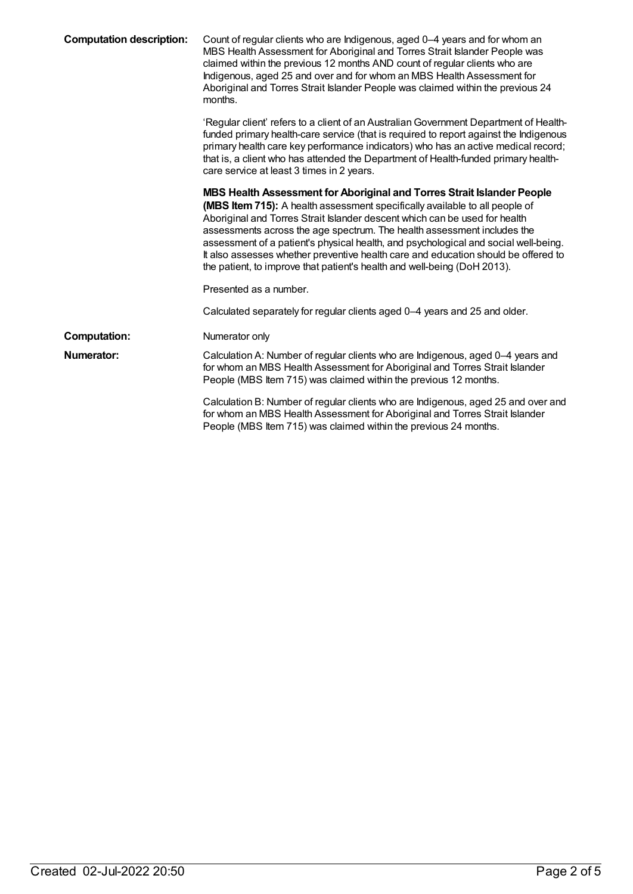| <b>Computation description:</b> | Count of regular clients who are Indigenous, aged 0-4 years and for whom an<br>MBS Health Assessment for Aboriginal and Torres Strait Islander People was<br>claimed within the previous 12 months AND count of regular clients who are<br>Indigenous, aged 25 and over and for whom an MBS Health Assessment for<br>Aboriginal and Torres Strait Islander People was claimed within the previous 24<br>months.                                                                                                                                                         |
|---------------------------------|-------------------------------------------------------------------------------------------------------------------------------------------------------------------------------------------------------------------------------------------------------------------------------------------------------------------------------------------------------------------------------------------------------------------------------------------------------------------------------------------------------------------------------------------------------------------------|
|                                 | 'Regular client' refers to a client of an Australian Government Department of Health-<br>funded primary health-care service (that is required to report against the Indigenous<br>primary health care key performance indicators) who has an active medical record;<br>that is, a client who has attended the Department of Health-funded primary health-<br>care service at least 3 times in 2 years.                                                                                                                                                                  |
|                                 | MBS Health Assessment for Aboriginal and Torres Strait Islander People<br>(MBS Item 715): A health assessment specifically available to all people of<br>Aboriginal and Torres Strait Islander descent which can be used for health<br>assessments across the age spectrum. The health assessment includes the<br>assessment of a patient's physical health, and psychological and social well-being.<br>It also assesses whether preventive health care and education should be offered to<br>the patient, to improve that patient's health and well-being (DoH 2013). |
|                                 | Presented as a number.                                                                                                                                                                                                                                                                                                                                                                                                                                                                                                                                                  |
|                                 | Calculated separately for regular clients aged 0-4 years and 25 and older.                                                                                                                                                                                                                                                                                                                                                                                                                                                                                              |
| <b>Computation:</b>             | Numerator only                                                                                                                                                                                                                                                                                                                                                                                                                                                                                                                                                          |
| Numerator:                      | Calculation A: Number of regular clients who are Indigenous, aged 0-4 years and<br>for whom an MBS Health Assessment for Aboriginal and Torres Strait Islander<br>People (MBS Item 715) was claimed within the previous 12 months.                                                                                                                                                                                                                                                                                                                                      |
|                                 | Calculation B: Number of regular clients who are Indigenous, aged 25 and over and<br>for whom an MBS Health Assessment for Aboriginal and Torres Strait Islander<br>People (MBS Item 715) was claimed within the previous 24 months.                                                                                                                                                                                                                                                                                                                                    |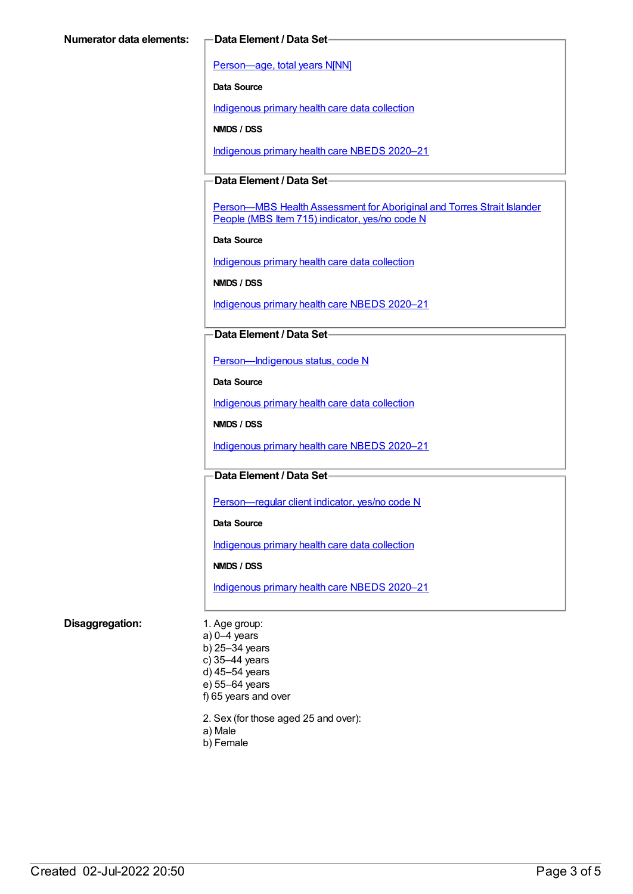[Person—age,](https://meteor.aihw.gov.au/content/303794) total years N[NN]

**Data Source**

[Indigenous](https://meteor.aihw.gov.au/content/430643) primary health care data collection

**NMDS / DSS**

[Indigenous](https://meteor.aihw.gov.au/content/715320) primary health care NBEDS 2020–21

### **Data Element / Data Set**

Person-MBS Health Assessment for Aboriginal and Torres Strait Islander People (MBS Item 715) indicator, yes/no code N

**Data Source**

[Indigenous](https://meteor.aihw.gov.au/content/430643) primary health care data collection

**NMDS / DSS**

[Indigenous](https://meteor.aihw.gov.au/content/715320) primary health care NBEDS 2020–21

#### **Data Element / Data Set**

[Person—Indigenous](https://meteor.aihw.gov.au/content/602543) status, code N

**Data Source**

[Indigenous](https://meteor.aihw.gov.au/content/430643) primary health care data collection

**NMDS / DSS**

[Indigenous](https://meteor.aihw.gov.au/content/715320) primary health care NBEDS 2020–21

#### **Data Element / Data Set**

Person-regular client indicator, yes/no code N

**Data Source**

[Indigenous](https://meteor.aihw.gov.au/content/430643) primary health care data collection

**NMDS / DSS**

[Indigenous](https://meteor.aihw.gov.au/content/715320) primary health care NBEDS 2020–21

#### **Disaggregation:** 1. Age group:

a) 0–4 years b) 25–34 years c) 35–44 years d) 45–54 years e) 55–64 years f) 65 years and over

2. Sex (for those aged 25 and over):

- a) Male
- b) Female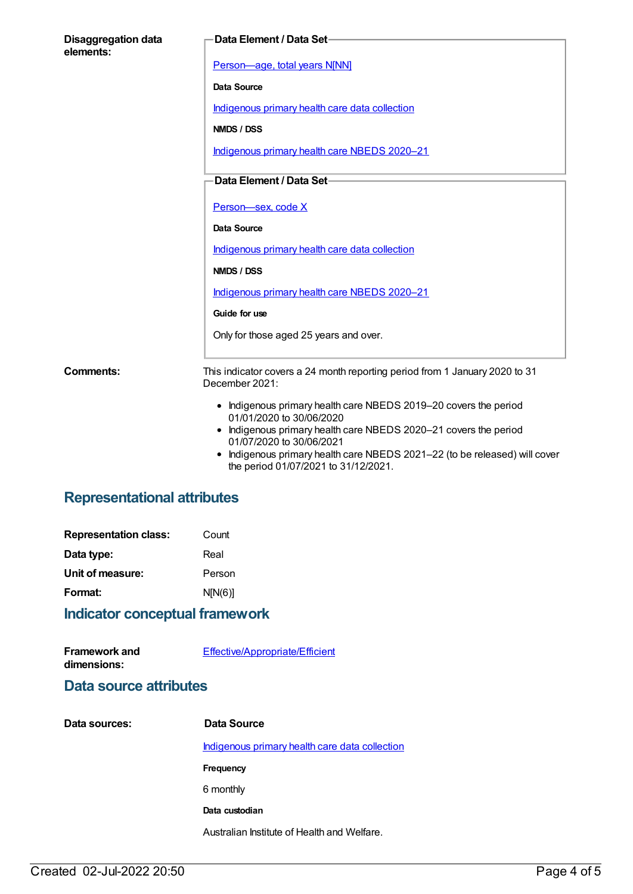| <b>Disaggregation data</b><br>elements: | Data Element / Data Set-                                                                                                 |
|-----------------------------------------|--------------------------------------------------------------------------------------------------------------------------|
|                                         | Person-age, total years N[NN]                                                                                            |
|                                         | <b>Data Source</b>                                                                                                       |
|                                         | Indigenous primary health care data collection                                                                           |
|                                         | NMDS / DSS                                                                                                               |
|                                         | Indigenous primary health care NBEDS 2020-21                                                                             |
|                                         | Data Element / Data Set-                                                                                                 |
|                                         | Person-sex, code X                                                                                                       |
|                                         | Data Source                                                                                                              |
|                                         | Indigenous primary health care data collection                                                                           |
|                                         | NMDS / DSS                                                                                                               |
|                                         | Indigenous primary health care NBEDS 2020-21                                                                             |
|                                         | Guide for use                                                                                                            |
|                                         | Only for those aged 25 years and over.                                                                                   |
| Comments:                               | This indicator covers a 24 month reporting period from 1 January 2020 to 31<br>December 2021:                            |
|                                         | • Indigenous primary health care NBEDS 2019-20 covers the period                                                         |
|                                         | 01/01/2020 to 30/06/2020<br>• Indigenous primary health care NBEDS 2020-21 covers the period<br>01/07/2020 to 30/06/2021 |
|                                         | • Indigenous primary health care NBEDS 2021-22 (to be released) will cover                                               |

the period 01/07/2021 to 31/12/2021.

# **Representational attributes**

| Count   |
|---------|
| Real    |
| Person  |
| N[N(6)] |
|         |

# **Indicator conceptual framework**

| <b>Framework and</b> | Effective/Appropriate/Efficient |
|----------------------|---------------------------------|
| dimensions:          |                                 |

# **Data source attributes**

| Data sources: | Data Source                                           |
|---------------|-------------------------------------------------------|
|               | <u>Indigenous primary health care data collection</u> |
|               | <b>Frequency</b>                                      |
|               | 6 monthly                                             |
|               | Data custodian                                        |
|               | Australian Institute of Health and Welfare.           |